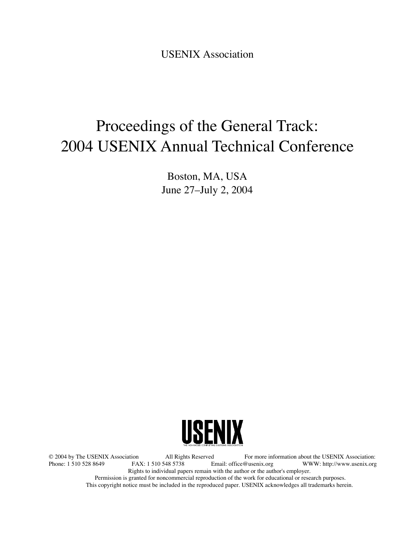USENIX Association

# Proceedings of the General Track: 2004 USENIX Annual Technical Conference

Boston, MA, USA June 27–July 2, 2004



© 2004 by The USENIX Association All Rights Reserved For more information about the USENIX Association: WWW: http://www.usenix.org Rights to individual papers remain with the author or the author's employer. Permission is granted for noncommercial reproduction of the work for educational or research purposes. This copyright notice must be included in the reproduced paper. USENIX acknowledges all trademarks herein.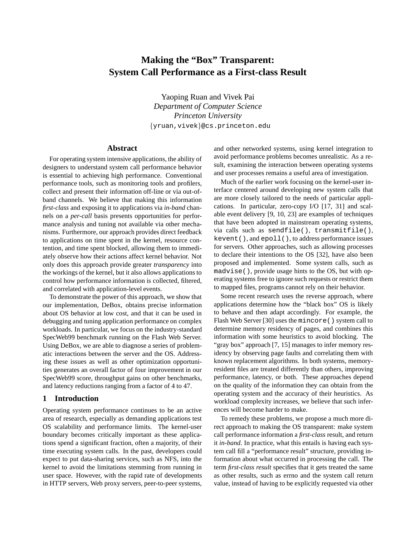## **Making the "Box" Transparent: System Call Performance as a First-class Result**

Yaoping Ruan and Vivek Pai *Department of Computer Science Princeton University* {yruan,vivek}@cs.princeton.edu

## **Abstract**

For operating system intensive applications, the ability of designers to understand system call performance behavior is essential to achieving high performance. Conventional performance tools, such as monitoring tools and profilers, collect and present their information off-line or via out-ofband channels. We believe that making this information *first-class* and exposing it to applications via *in-band* channels on a *per-call* basis presents opportunities for performance analysis and tuning not available via other mechanisms. Furthermore, our approach provides direct feedback to applications on time spent in the kernel, resource contention, and time spent blocked, allowing them to immediately observe how their actions affect kernel behavior. Not only does this approach provide greater *transparency* into the workings of the kernel, but it also allows applications to control how performance information is collected, filtered, and correlated with application-level events.

To demonstrate the power of this approach, we show that our implementation, DeBox, obtains precise information about OS behavior at low cost, and that it can be used in debugging and tuning application performance on complex workloads. In particular, we focus on the industry-standard SpecWeb99 benchmark running on the Flash Web Server. Using DeBox, we are able to diagnose a series of problematic interactions between the server and the OS. Addressing these issues as well as other optimization opportunities generates an overall factor of four improvement in our SpecWeb99 score, throughput gains on other benchmarks, and latency reductions ranging from a factor of 4 to 47.

## **1 Introduction**

Operating system performance continues to be an active area of research, especially as demanding applications test OS scalability and performance limits. The kernel-user boundary becomes critically important as these applications spend a significant fraction, often a majority, of their time executing system calls. In the past, developers could expect to put data-sharing services, such as NFS, into the kernel to avoid the limitations stemming from running in user space. However, with the rapid rate of developments in HTTP servers, Web proxy servers, peer-to-peer systems,

and other networked systems, using kernel integration to avoid performance problems becomes unrealistic. As a result, examining the interaction between operating systems and user processes remains a useful area of investigation.

Much of the earlier work focusing on the kernel-user interface centered around developing new system calls that are more closely tailored to the needs of particular applications. In particular, zero-copy I/O [17, 31] and scalable event delivery [9, 10, 23] are examples of techniques that have been adopted in mainstream operating systems, via calls such as sendfile(), transmitfile(), kevent(), and epoll(), to address performance issues for servers. Other approaches, such as allowing processes to declare their intentions to the OS [32], have also been proposed and implemented. Some system calls, such as madvise(), provide usage hints to the OS, but with operating systems free to ignore such requests or restrict them to mapped files, programs cannot rely on their behavior.

Some recent research uses the reverse approach, where applications determine how the "black box" OS is likely to behave and then adapt accordingly. For example, the Flash Web Server [30] uses the mincore() system call to determine memory residency of pages, and combines this information with some heuristics to avoid blocking. The "gray box" approach [7, 15] manages to infer memory residency by observing page faults and correlating them with known replacement algorithms. In both systems, memoryresident files are treated differently than others, improving performance, latency, or both. These approaches depend on the quality of the information they can obtain from the operating system and the accuracy of their heuristics. As workload complexity increases, we believe that such inferences will become harder to make.

To remedy these problems, we propose a much more direct approach to making the OS transparent: make system call performance information a *first-class* result, and return it *in-band*. In practice, what this entails is having each system call fill a "performance result" structure, providing information about what occurred in processing the call. The term *first-class result* specifies that it gets treated the same as other results, such as errno and the system call return value, instead of having to be explicitly requested via other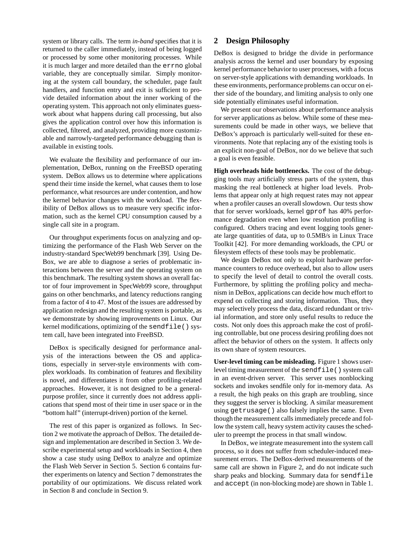system or library calls. The term *in-band* specifies that it is returned to the caller immediately, instead of being logged or processed by some other monitoring processes. While it is much larger and more detailed than the errno global variable, they are conceptually similar. Simply monitoring at the system call boundary, the scheduler, page fault handlers, and function entry and exit is sufficient to provide detailed information about the inner working of the operating system. This approach not only eliminates guesswork about what happens during call processing, but also gives the application control over how this information is collected, filtered, and analyzed, providing more customizable and narrowly-targeted performance debugging than is available in existing tools.

We evaluate the flexibility and performance of our implementation, DeBox, running on the FreeBSD operating system. DeBox allows us to determine where applications spend their time inside the kernel, what causes them to lose performance, what resources are under contention, and how the kernel behavior changes with the workload. The flexibility of DeBox allows us to measure very specific information, such as the kernel CPU consumption caused by a single call site in a program.

Our throughput experiments focus on analyzing and optimizing the performance of the Flash Web Server on the industry-standard SpecWeb99 benchmark [39]. Using De-Box, we are able to diagnose a series of problematic interactions between the server and the operating system on this benchmark. The resulting system shows an overall factor of four improvement in SpecWeb99 score, throughput gains on other benchmarks, and latency reductions ranging from a factor of 4 to 47. Most of the issues are addressed by application redesign and the resulting system is portable, as we demonstrate by showing improvements on Linux. Our kernel modifications, optimizing of the sendfile() system call, have been integrated into FreeBSD.

DeBox is specifically designed for performance analysis of the interactions between the OS and applications, especially in server-style environments with complex workloads. Its combination of features and flexibility is novel, and differentiates it from other profiling-related approaches. However, it is not designed to be a generalpurpose profiler, since it currently does not address applications that spend most of their time in user space or in the "bottom half" (interrupt-driven) portion of the kernel.

The rest of this paper is organized as follows. In Section 2 we motivate the approach of DeBox. The detailed design and implementation are described in Section 3. We describe experimental setup and workloads in Section 4, then show a case study using DeBox to analyze and optimize the Flash Web Server in Section 5. Section 6 contains further experiments on latency and Section 7 demonstrates the portability of our optimizations. We discuss related work in Section 8 and conclude in Section 9.

## **2 Design Philosophy**

DeBox is designed to bridge the divide in performance analysis across the kernel and user boundary by exposing kernel performance behavior to user processes, with a focus on server-style applications with demanding workloads. In these environments, performance problems can occur on either side of the boundary, and limiting analysis to only one side potentially eliminates useful information.

We present our observations about performance analysis for server applications as below. While some of these measurements could be made in other ways, we believe that DeBox's approach is particularly well-suited for these environments. Note that replacing any of the existing tools is an explicit non-goal of DeBox, nor do we believe that such a goal is even feasible.

**High overheads hide bottlenecks.** The cost of the debugging tools may artificially stress parts of the system, thus masking the real bottleneck at higher load levels. Problems that appear only at high request rates may not appear when a profiler causes an overall slowdown. Our tests show that for server workloads, kernel gprof has 40% performance degradation even when low resolution profiling is configured. Others tracing and event logging tools generate large quantities of data, up to 0.5MB/s in Linux Trace Toolkit [42]. For more demanding workloads, the CPU or filesystem effects of these tools may be problematic.

We design DeBox not only to exploit hardware performance counters to reduce overhead, but also to allow users to specify the level of detail to control the overall costs. Furthermore, by splitting the profiling policy and mechanism in DeBox, applications can decide how much effort to expend on collecting and storing information. Thus, they may selectively process the data, discard redundant or trivial information, and store only useful results to reduce the costs. Not only does this approach make the cost of profiling controllable, but one process desiring profiling does not affect the behavior of others on the system. It affects only its own share of system resources.

**User-level timing can be misleading.** Figure 1 shows userlevel timing measurement of the sendfile() system call in an event-driven server. This server uses nonblocking sockets and invokes sendfile only for in-memory data. As a result, the high peaks on this graph are troubling, since they suggest the server is blocking. A similar measurement using getrusage() also falsely implies the same. Even though the measurement calls immediately precede and follow the system call, heavy system activity causes the scheduler to preempt the process in that small window.

In DeBox, we integrate measurement into the system call process, so it does not suffer from scheduler-induced measurement errors. The DeBox-derived measurements of the same call are shown in Figure 2, and do not indicate such sharp peaks and blocking. Summary data for sendfile and accept (in non-blocking mode) are shown in Table 1.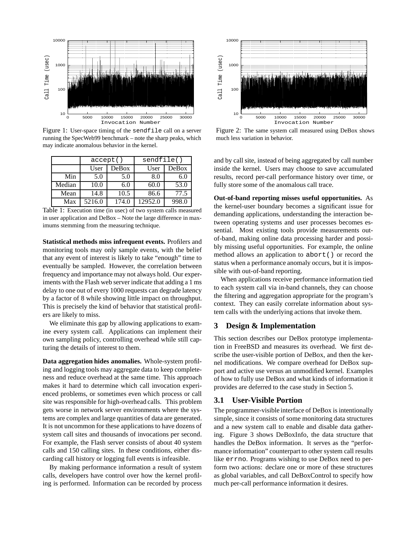

Figure 1: User-space timing of the sendfile call on a server running the SpecWeb99 benchmark – note the sharp peaks, which may indicate anomalous behavior in the kernel.

|        | accept() |       | sendfile() |       |
|--------|----------|-------|------------|-------|
|        | User     | DeBox | User       | DeBox |
| Min    | 5.0      | 5.0   | 8.0        | 6.0   |
| Median | 10.0     | 6.0   | 60.0       | 53.0  |
| Mean   | 14.8     | 10.5  | 86.6       | 77.5  |
| Max    | 5216.0   | 174.0 | 12952.0    | 998.0 |

Table 1: Execution time (in usec) of two system calls measured in user application and DeBox – Note the large difference in maximums stemming from the measuring technique.

**Statistical methods miss infrequent events.** Profilers and monitoring tools may only sample events, with the belief that any event of interest is likely to take "enough" time to eventually be sampled. However, the correlation between frequency and importance may not always hold. Our experiments with the Flash web server indicate that adding a 1 ms delay to one out of every 1000 requests can degrade latency by a factor of 8 while showing little impact on throughput. This is precisely the kind of behavior that statistical profilers are likely to miss.

We eliminate this gap by allowing applications to examine every system call. Applications can implement their own sampling policy, controlling overhead while still capturing the details of interest to them.

**Data aggregation hides anomalies.** Whole-system profiling and logging tools may aggregate data to keep completeness and reduce overhead at the same time. This approach makes it hard to determine which call invocation experienced problems, or sometimes even which process or call site was responsible for high-overhead calls. This problem gets worse in network server environments where the systems are complex and large quantities of data are generated. It is not uncommon for these applications to have dozens of system call sites and thousands of invocations per second. For example, the Flash server consists of about 40 system calls and 150 calling sites. In these conditions, either discarding call history or logging full events is infeasible.

By making performance information a result of system calls, developers have control over how the kernel profiling is performed. Information can be recorded by process



Figure 2: The same system call measured using DeBox shows much less variation in behavior.

and by call site, instead of being aggregated by call number inside the kernel. Users may choose to save accumulated results, record per-call performance history over time, or fully store some of the anomalous call trace.

**Out-of-band reporting misses useful opportunities.** As the kernel-user boundary becomes a significant issue for demanding applications, understanding the interaction between operating systems and user processes becomes essential. Most existing tools provide measurements outof-band, making online data processing harder and possibly missing useful opportunities. For example, the online method allows an application to abort() or record the status when a performance anomaly occurs, but it is impossible with out-of-band reporting.

When applications receive performance information tied to each system call via in-band channels, they can choose the filtering and aggregation appropriate for the program's context. They can easily correlate information about system calls with the underlying actions that invoke them.

## **3 Design & Implementation**

This section describes our DeBox prototype implementation in FreeBSD and measures its overhead. We first describe the user-visible portion of DeBox, and then the kernel modifications. We compare overhead for DeBox support and active use versus an unmodified kernel. Examples of how to fully use DeBox and what kinds of information it provides are deferred to the case study in Section 5.

## **3.1 User-Visible Portion**

The programmer-visible interface of DeBox is intentionally simple, since it consists of some monitoring data structures and a new system call to enable and disable data gathering. Figure 3 shows DeBoxInfo, the data structure that handles the DeBox information. It serves as the "performance information" counterpart to other system call results like errno. Programs wishing to use DeBox need to perform two actions: declare one or more of these structures as global variables, and call DeBoxControl to specify how much per-call performance information it desires.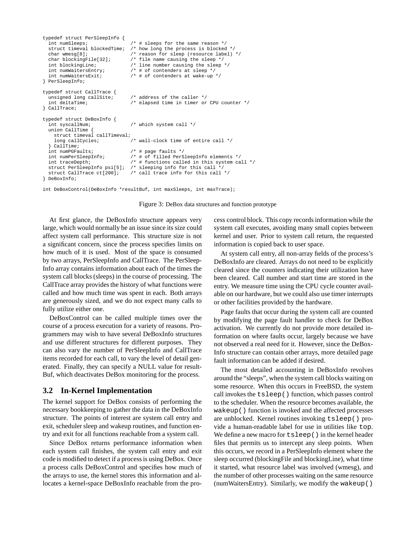```
typedef struct PerSleepInfo {
  int numSleeps;<br>struct timeval blockedTime; /* how long the process is blocked
                                         \frac{1}{\sqrt{2}} how long the process is blocked */
  char wmesg[8]; \frac{1}{2} /* reason for sleep (resource label) */<br>char blockingFile[32]; \frac{1}{2} /* file name causing the sleep */
                                          k file name causing the sleep */
  int blockingLine;<br>
\frac{1}{1} /* line number causing the sleep */<br>
int numWaitersEntry;<br>
\frac{1}{1} of contenders at sleep */
                                          \hspace{0.1em}/\hspace{0.1em}^* # of contenders at sleep */
  int numWaitersExit; /* # of contenders at wake-up */
} PerSleepInfo;
typedef struct CallTrace {
  unsigned long callSite; \qquad /* address of the caller */
  int deltaTime; \frac{1}{2} /* elapsed time in timer or CPU counter */
} CallTrace;
typedef struct DeBoxInfo {
  int syscallNum; \qquad /* which system call */
  union CallTime {
     struct timeval callTimeval;<br>long callCycles;
                                          /* wall-clock time of entire call */
  } CallTime;<br>int numPGFaults;
                                          i' # page faults */
  int numPerSleepInfo; \begin{array}{ccc} \n/ * & \text{if the total } x < 0 \\
/ * & \text{if the total } x < 0 \\
/ * & \text{if the total } x < 0 \\
\end{array}int traceDepth; \frac{1}{4} # functions called in this system call */<br>struct PerSleepInfo psi[5]; /* sleeping info for this call */
                                         /* sleeping info for this call */struct CallTrace ct[200]; /* call trace info for this call */
} DeBoxInfo;
```
int DeBoxControl(DeBoxInfo \*resultBuf, int maxSleeps, int maxTrace);



At first glance, the DeBoxInfo structure appears very large, which would normally be an issue since its size could affect system call performance. This structure size is not a significant concern, since the process specifies limits on how much of it is used. Most of the space is consumed by two arrays, PerSleepInfo and CallTrace. The PerSleep-Info array contains information about each of the times the system call blocks (sleeps) in the course of processing. The CallTrace array provides the history of what functions were called and how much time was spent in each. Both arrays are generously sized, and we do not expect many calls to fully utilize either one.

DeBoxControl can be called multiple times over the course of a process execution for a variety of reasons. Programmers may wish to have several DeBoxInfo structures and use different structures for different purposes. They can also vary the number of PerSleepInfo and CallTrace items recorded for each call, to vary the level of detail generated. Finally, they can specify a NULL value for result-Buf, which deactivates DeBox monitoring for the process.

## **3.2 In-Kernel Implementation**

The kernel support for DeBox consists of performing the necessary bookkeeping to gather the data in the DeBoxInfo structure. The points of interest are system call entry and exit, scheduler sleep and wakeup routines, and function entry and exit for all functions reachable from a system call.

Since DeBox returns performance information when each system call finishes, the system call entry and exit code is modified to detect if a process is using DeBox. Once a process calls DeBoxControl and specifies how much of the arrays to use, the kernel stores this information and allocates a kernel-space DeBoxInfo reachable from the process control block. This copy records information while the system call executes, avoiding many small copies between kernel and user. Prior to system call return, the requested information is copied back to user space.

At system call entry, all non-array fields of the process's DeBoxInfo are cleared. Arrays do not need to be explicitly cleared since the counters indicating their utilization have been cleared. Call number and start time are stored in the entry. We measure time using the CPU cycle counter available on our hardware, but we could also use timer interrupts or other facilities provided by the hardware.

Page faults that occur during the system call are counted by modifying the page fault handler to check for DeBox activation. We currently do not provide more detailed information on where faults occur, largely because we have not observed a real need for it. However, since the DeBox-Info structure can contain other arrays, more detailed page fault information can be added if desired.

The most detailed accounting in DeBoxInfo revolves around the "sleeps", when the system call blocks waiting on some resource. When this occurs in FreeBSD, the system call invokes the tsleep() function, which passes control to the scheduler. When the resource becomes available, the wakeup() function is invoked and the affected processes are unblocked. Kernel routines invoking tsleep() provide a human-readable label for use in utilities like top. We define a new macro for  $t = \text{sleep}(x)$  in the kernel header files that permits us to intercept any sleep points. When this occurs, we record in a PerSleepInfo element where the sleep occurred (blockingFile and blockingLine), what time it started, what resource label was involved (wmesg), and the number of other processes waiting on the same resource (numWaitersEntry). Similarly, we modify the wakeup()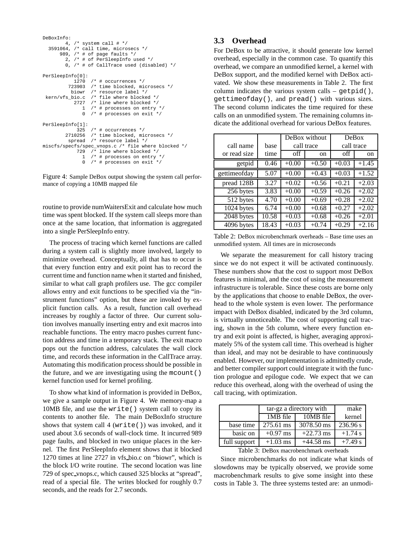```
DeBoxInfo:
        4, /* system call # */3591064, /* call time, microsecs */
      989, /* # of page faults */
2, /* # of PerSleepInfo used */
        0, /* # of CallTrace used (disabled) */
PerSleepInfo[0]:
           1270 /* # occurrences */723903 /* time blocked, microsecs */
          biowr /* resource label */
 kern/vfs_bio.c /* file where blocked */
            2727 /* line where blocked */
              1 /* # processes on entry */
              0 /* # processes on exit */PerSleepInfo[1]:
            325 /* # occurrences */
        2710256 /* time blocked, microsecs */
spread /* resource label */
miscfs/specfs/spec_vnops.c /* file where blocked */
            729 /* line where blocked */
              1 /* # processes on entry */
               0 /* # processes on exit */
```
Figure 4: Sample DeBox output showing the system call performance of copying a 10MB mapped file

routine to provide numWaitersExit and calculate how much time was spent blocked. If the system call sleeps more than once at the same location, that information is aggregated into a single PerSleepInfo entry.

The process of tracing which kernel functions are called during a system call is slightly more involved, largely to minimize overhead. Conceptually, all that has to occur is that every function entry and exit point has to record the current time and function name when it started and finished, similar to what call graph profilers use. The gcc compiler allows entry and exit functions to be specified via the "instrument functions" option, but these are invoked by explicit function calls. As a result, function call overhead increases by roughly a factor of three. Our current solution involves manually inserting entry and exit macros into reachable functions. The entry macro pushes current function address and time in a temporary stack. The exit macro pops out the function address, calculates the wall clock time, and records these information in the CallTrace array. Automating this modification process should be possible in the future, and we are investigating using the mcount() kernel function used for kernel profiling.

To show what kind of information is provided in DeBox, we give a sample output in Figure 4. We memory-map a 10MB file, and use the write() system call to copy its contents to another file. The main DeBoxInfo structure shows that system call 4 (write()) was invoked, and it used about 3.6 seconds of wall-clock time. It incurred 989 page faults, and blocked in two unique places in the kernel. The first PerSleepInfo element shows that it blocked 1270 times at line 2727 in vfs bio.c on "biowr", which is the block I/O write routine. The second location was line 729 of spec vnops.c, which caused 325 blocks at "spread", read of a special file. The writes blocked for roughly 0.7 seconds, and the reads for 2.7 seconds.

## **3.3 Overhead**

For DeBox to be attractive, it should generate low kernel overhead, especially in the common case. To quantify this overhead, we compare an unmodified kernel, a kernel with DeBox support, and the modified kernel with DeBox activated. We show these measurements in Table 2. The first column indicates the various system calls  $-$  qetpid(), gettimeofday(), and pread() with various sizes. The second column indicates the time required for these calls on an unmodified system. The remaining columns indicate the additional overhead for various DeBox features.

|              |       | DeBox without |            | DeBox      |         |
|--------------|-------|---------------|------------|------------|---------|
| call name    | base  |               | call trace | call trace |         |
| or read size | time  | off           | on         | off        | on      |
| getpid       | 0.46  | $+0.00$       | $+0.50$    | $+0.03$    | $+1.45$ |
| gettimeofday | 5.07  | $+0.00$       | $+0.43$    | $+0.03$    | $+1.52$ |
| pread 128B   | 3.27  | $+0.02$       | $+0.56$    | $+0.21$    | $+2.03$ |
| 256 bytes    | 3.83  | $+0.00$       | $+0.59$    | $+0.26$    | $+2.02$ |
| 512 bytes    | 4.70  | $+0.00$       | $+0.69$    | $+0.28$    | $+2.02$ |
| 1024 bytes   | 6.74  | $+0.00$       | $+0.68$    | $+0.27$    | $+2.02$ |
| 2048 bytes   | 10.58 | $+0.03$       | $+0.68$    | $+0.26$    | $+2.01$ |
| 4096 bytes   | 18.43 | $+0.03$       | $+0.74$    | $+0.29$    | $+2.16$ |

Table 2: DeBox microbenchmark overheads – Base time uses an unmodified system. All times are in microseconds

We separate the measurement for call history tracing since we do not expect it will be activated continuously. These numbers show that the cost to support most DeBox features is minimal, and the cost of using the measurement infrastructure is tolerable. Since these costs are borne only by the applications that choose to enable DeBox, the overhead to the whole system is even lower. The performance impact with DeBox disabled, indicated by the 3rd column, is virtually unnoticeable. The cost of supporting call tracing, shown in the 5th column, where every function entry and exit point is affected, is higher, averaging approximately 5% of the system call time. This overhead is higher than ideal, and may not be desirable to have continuously enabled. However, our implementation is admittedly crude, and better compiler support could integrate it with the function prologue and epilogue code. We expect that we can reduce this overhead, along with the overhead of using the call tracing, with optimization.

|                                         | tar-gz a directory with | make        |           |  |  |
|-----------------------------------------|-------------------------|-------------|-----------|--|--|
|                                         | $1MB$ file              | $10MB$ file | kernel    |  |  |
| base time                               | 275.61 ms               | 3078.50 ms  | 236.96 s  |  |  |
| basic on                                | $+0.97$ ms              | $+22.73$ ms | $+1.74$ s |  |  |
| full support                            | $+1.03$ ms              | $+44.58$ ms | $+7.49 s$ |  |  |
| Toble 2: DeBoy meanshapehments exampled |                         |             |           |  |  |

Table 3: DeBox macrobenchmark overheads

Since microbenchmarks do not indicate what kinds of slowdowns may be typically observed, we provide some macrobenchmark results to give some insight into these costs in Table 3. The three systems tested are: an unmodi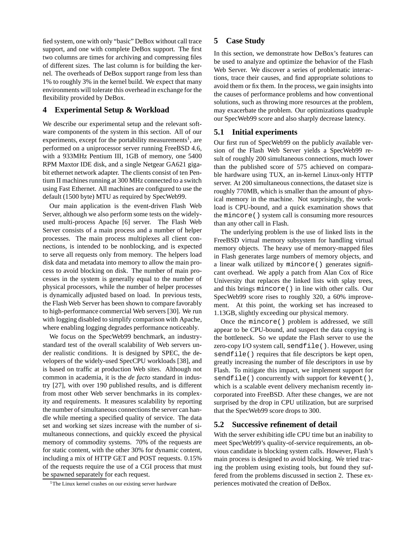fied system, one with only "basic" DeBox without call trace support, and one with complete DeBox support. The first two columns are times for archiving and compressing files of different sizes. The last column is for building the kernel. The overheads of DeBox support range from less than 1% to roughly 3% in the kernel build. We expect that many environments will tolerate this overhead in exchange for the flexibility provided by DeBox.

## **4 Experimental Setup & Workload**

We describe our experimental setup and the relevant software components of the system in this section. All of our experiments, except for the portability measurements<sup>1</sup>, are performed on a uniprocessor server running FreeBSD 4.6, with a 933MHz Pentium III, 1GB of memory, one 5400 RPM Maxtor IDE disk, and a single Netgear GA621 gigabit ethernet network adapter. The clients consist of ten Pentium II machines running at 300 MHz connected to a switch using Fast Ethernet. All machines are configured to use the default (1500 byte) MTU as required by SpecWeb99.

Our main application is the event-driven Flash Web Server, although we also perform some tests on the widelyused multi-process Apache [6] server. The Flash Web Server consists of a main process and a number of helper processes. The main process multiplexes all client connections, is intended to be nonblocking, and is expected to serve all requests only from memory. The helpers load disk data and metadata into memory to allow the main process to avoid blocking on disk. The number of main processes in the system is generally equal to the number of physical processors, while the number of helper processes is dynamically adjusted based on load. In previous tests, the Flash Web Server has been shown to compare favorably to high-performance commercial Web servers [30]. We run with logging disabled to simplify comparison with Apache, where enabling logging degrades performance noticeably.

We focus on the SpecWeb99 benchmark, an industrystandard test of the overall scalability of Web servers under realistic conditions. It is designed by SPEC, the developers of the widely-used SpecCPU workloads [38], and is based on traffic at production Web sites. Although not common in academia, it is the *de facto* standard in industry [27], with over 190 published results, and is different from most other Web server benchmarks in its complexity and requirements. It measures scalability by reporting the number of simultaneous connections the server can handle while meeting a specified quality of service. The data set and working set sizes increase with the number of simultaneous connections, and quickly exceed the physical memory of commodity systems. 70% of the requests are for static content, with the other 30% for dynamic content, including a mix of HTTP GET and POST requests. 0.15% of the requests require the use of a CGI process that must be spawned separately for each request.

## **5 Case Study**

In this section, we demonstrate how DeBox's features can be used to analyze and optimize the behavior of the Flash Web Server. We discover a series of problematic interactions, trace their causes, and find appropriate solutions to avoid them or fix them. In the process, we gain insights into the causes of performance problems and how conventional solutions, such as throwing more resources at the problem, may exacerbate the problem. Our optimizations quadruple our SpecWeb99 score and also sharply decrease latency.

## **5.1 Initial experiments**

Our first run of SpecWeb99 on the publicly available version of the Flash Web Server yields a SpecWeb99 result of roughly 200 simultaneous connections, much lower than the published score of 575 achieved on comparable hardware using TUX, an in-kernel Linux-only HTTP server. At 200 simultaneous connections, the dataset size is roughly 770MB, which is smaller than the amount of physical memory in the machine. Not surprisingly, the workload is CPU-bound, and a quick examination shows that the mincore() system call is consuming more resources than any other call in Flash.

The underlying problem is the use of linked lists in the FreeBSD virtual memory subsystem for handling virtual memory objects. The heavy use of memory-mapped files in Flash generates large numbers of memory objects, and a linear walk utilized by mincore() generates significant overhead. We apply a patch from Alan Cox of Rice University that replaces the linked lists with splay trees, and this brings mincore() in line with other calls. Our SpecWeb99 score rises to roughly 320, a 60% improvement. At this point, the working set has increased to 1.13GB, slightly exceeding our physical memory.

Once the mincore() problem is addressed, we still appear to be CPU-bound, and suspect the data copying is the bottleneck. So we update the Flash server to use the zero-copy I/O system call, sendfile(). However, using sendfile() requires that file descriptors be kept open, greatly increasing the number of file descriptors in use by Flash. To mitigate this impact, we implement support for sendfile() concurrently with support for kevent(), which is a scalable event delivery mechanism recently incorporated into FreeBSD. After these changes, we are not surprised by the drop in CPU utilization, but are surprised that the SpecWeb99 score drops to 300.

## **5.2 Successive refinement of detail**

With the server exhibiting idle CPU time but an inability to meet SpecWeb99's quality-of-service requirements, an obvious candidate is blocking system calls. However, Flash's main process is designed to avoid blocking. We tried tracing the problem using existing tools, but found they suffered from the problems discussed in section 2. These experiences motivated the creation of DeBox.

<sup>&</sup>lt;sup>1</sup>The Linux kernel crashes on our existing server hardware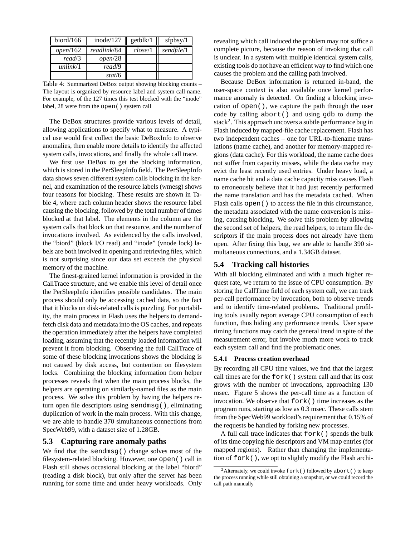| biord/166 $\parallel$ | inode/ $127$ | getblk/1 | sfpbsy $/1$ |
|-----------------------|--------------|----------|-------------|
| open/162              | readlink/84  | close/1  | sendfile/1  |
| read/3                | open/28      |          |             |
| unlink/1              | read/9       |          |             |
|                       | stat/6       |          |             |

Table 4: Summarized DeBox output showing blocking counts – The layout is organized by resource label and system call name. For example, of the 127 times this test blocked with the "inode" label, 28 were from the open() system call

The DeBox structures provide various levels of detail, allowing applications to specify what to measure. A typical use would first collect the basic DeBoxInfo to observe anomalies, then enable more details to identify the affected system calls, invocations, and finally the whole call trace.

We first use DeBox to get the blocking information, which is stored in the PerSleepInfo field. The PerSleepInfo data shows seven different system calls blocking in the kernel, and examination of the resource labels (wmesg) shows four reasons for blocking. These results are shown in Table 4, where each column header shows the resource label causing the blocking, followed by the total number of times blocked at that label. The elements in the column are the system calls that block on that resource, and the number of invocations involved. As evidenced by the calls involved, the "biord" (block I/O read) and "inode" (vnode lock) labels are both involved in opening and retrieving files, which is not surprising since our data set exceeds the physical memory of the machine.

The finest-grained kernel information is provided in the CallTrace structure, and we enable this level of detail once the PerSleepInfo identifies possible candidates. The main process should only be accessing cached data, so the fact that it blocks on disk-related calls is puzzling. For portability, the main process in Flash uses the helpers to demandfetch disk data and metadata into the OS caches, and repeats the operation immediately after the helpers have completed loading, assuming that the recently loaded information will prevent it from blocking. Observing the full CallTrace of some of these blocking invocations shows the blocking is not caused by disk access, but contention on filesystem locks. Combining the blocking information from helper processes reveals that when the main process blocks, the helpers are operating on similarly-named files as the main process. We solve this problem by having the helpers return open file descriptors using sendmsg(), eliminating duplication of work in the main process. With this change, we are able to handle 370 simultaneous connections from SpecWeb99, with a dataset size of 1.28GB.

#### **5.3 Capturing rare anomaly paths**

We find that the sendmsq() change solves most of the filesystem-related blocking. However, one open() call in Flash still shows occasional blocking at the label "biord" (reading a disk block), but only after the server has been running for some time and under heavy workloads. Only revealing which call induced the problem may not suffice a complete picture, because the reason of invoking that call is unclear. In a system with multiple identical system calls, existing tools do not have an efficient way to find which one causes the problem and the calling path involved.

Because DeBox information is returned in-band, the user-space context is also available once kernel performance anomaly is detected. On finding a blocking invocation of open(), we capture the path through the user code by calling abort() and using gdb to dump the stack<sup>2</sup>. This approach uncovers a subtle performance bug in Flash induced by mapped-file cache replacement. Flash has two independent caches – one for URL-to-filename translations (name cache), and another for memory-mapped regions (data cache). For this workload, the name cache does not suffer from capacity misses, while the data cache may evict the least recently used entries. Under heavy load, a name cache hit and a data cache capacity miss causes Flash to erroneously believe that it had just recently performed the name translation and has the metadata cached. When Flash calls open() to access the file in this circumstance, the metadata associated with the name conversion is missing, causing blocking. We solve this problem by allowing the second set of helpers, the read helpers, to return file descriptors if the main process does not already have them open. After fixing this bug, we are able to handle 390 simultaneous connections, and a 1.34GB dataset.

## **5.4 Tracking call histories**

With all blocking eliminated and with a much higher request rate, we return to the issue of CPU consumption. By storing the CallTime field of each system call, we can track per-call performance by invocation, both to observe trends and to identify time-related problems. Traditional profiling tools usually report average CPU consumption of each function, thus hiding any performance trends. User space timing functions may catch the general trend in spite of the measurement error, but involve much more work to track each system call and find the problematic ones.

#### **5.4.1 Process creation overhead**

By recording all CPU time values, we find that the largest call times are for the fork() system call and that its cost grows with the number of invocations, approaching 130 msec. Figure 5 shows the per-call time as a function of invocation. We observe that fork() time increases as the program runs, starting as low as 0.3 msec. These calls stem from the SpecWeb99 workload's requirement that 0.15% of the requests be handled by forking new processes.

A full call trace indicates that fork() spends the bulk of its time copying file descriptors and VM map entries (for mapped regions). Rather than changing the implementation of fork(), we opt to slightly modify the Flash archi-

<sup>&</sup>lt;sup>2</sup>Alternately, we could invoke  $f \circ r k$  () followed by abort () to keep the process running while still obtaining a snapshot, or we could record the call path manually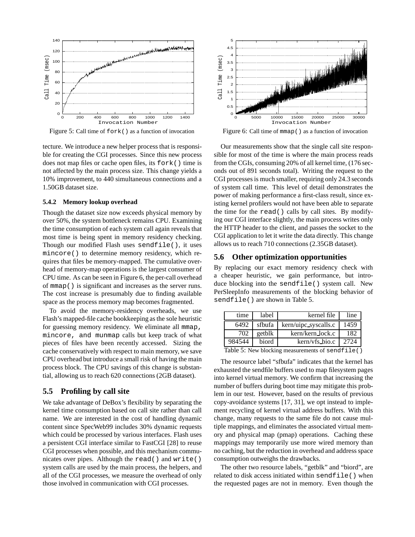

Figure 5: Call time of fork() as a function of invocation

tecture. We introduce a new helper process that is responsible for creating the CGI processes. Since this new process does not map files or cache open files, its fork() time is not affected by the main process size. This change yields a 10% improvement, to 440 simultaneous connections and a 1.50GB dataset size.

#### **5.4.2 Memory lookup overhead**

Though the dataset size now exceeds physical memory by over 50%, the system bottleneck remains CPU. Examining the time consumption of each system call again reveals that most time is being spent in memory residency checking. Though our modified Flash uses sendfile(), it uses mincore() to determine memory residency, which requires that files be memory-mapped. The cumulative overhead of memory-map operations is the largest consumer of CPU time. As can be seen in Figure 6, the per-call overhead of mmap() is significant and increases as the server runs. The cost increase is presumably due to finding available space as the process memory map becomes fragmented.

To avoid the memory-residency overheads, we use Flash's mapped-file cache bookkeeping as the sole heuristic for guessing memory residency. We eliminate all mmap, mincore, and munmap calls but keep track of what pieces of files have been recently accessed. Sizing the cache conservatively with respect to main memory, we save CPU overhead but introduce a small risk of having the main process block. The CPU savings of this change is substantial, allowing us to reach 620 connections (2GB dataset).

## **5.5 Profiling by call site**

We take advantage of DeBox's flexibility by separating the kernel time consumption based on call site rather than call name. We are interested in the cost of handling dynamic content since SpecWeb99 includes 30% dynamic requests which could be processed by various interfaces. Flash uses a persistent CGI interface similar to FastCGI [28] to reuse CGI processes when possible, and this mechanism communicates over pipes. Although the read() and write() system calls are used by the main process, the helpers, and all of the CGI processes, we measure the overhead of only those involved in communication with CGI processes.



Figure 6: Call time of mmap() as a function of invocation

Our measurements show that the single call site responsible for most of the time is where the main process reads from the CGIs, consuming 20% of all kernel time, (176 seconds out of 891 seconds total). Writing the request to the CGI processes is much smaller, requiring only 24.3 seconds of system call time. This level of detail demonstrates the power of making performance a first-class result, since existing kernel profilers would not have been able to separate the time for the read() calls by call sites. By modifying our CGI interface slightly, the main process writes only the HTTP header to the client, and passes the socket to the CGI application to let it write the data directly. This change allows us to reach 710 connections (2.35GB dataset).

## **5.6 Other optimization opportunities**

By replacing our exact memory residency check with a cheaper heuristic, we gain performance, but introduce blocking into the sendfile() system call. New PerSleepInfo measurements of the blocking behavior of sendfile() are shown in Table 5.

| time   | label  | kernel file          | line |  |
|--------|--------|----------------------|------|--|
| 6492   | sfbufa | kern/uipc_syscalls.c | 1459 |  |
| 702    | getblk | kern/kern_lock.c     | 182  |  |
| 984544 | biord  | kern/vfs_bio.c       | 2724 |  |
| - - -  |        |                      |      |  |

Table 5: New blocking measurements of sendfile()

The resource label "sfbufa" indicates that the kernel has exhausted the sendfile buffers used to map filesystem pages into kernel virtual memory. We confirm that increasing the number of buffers during boot time may mitigate this problem in our test. However, based on the results of previous copy-avoidance systems [17, 31], we opt instead to implement recycling of kernel virtual address buffers. With this change, many requests to the same file do not cause multiple mappings, and eliminates the associated virtual memory and physical map (pmap) operations. Caching these mappings may temporarily use more wired memory than no caching, but the reduction in overhead and address space consumption outweighs the drawbacks.

The other two resource labels, "getblk" and "biord", are related to disk access initiated within sendfile() when the requested pages are not in memory. Even though the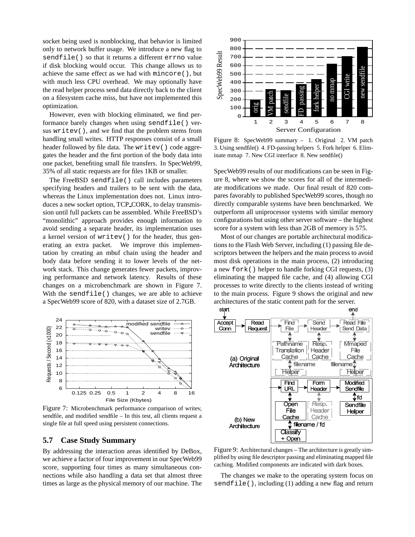socket being used is nonblocking, that behavior is limited only to network buffer usage. We introduce a new flag to sendfile() so that it returns a different errno value if disk blocking would occur. This change allows us to achieve the same effect as we had with mincore(), but with much less CPU overhead. We may optionally have the read helper process send data directly back to the client on a filesystem cache miss, but have not implemented this optimization.

However, even with blocking eliminated, we find performance barely changes when using sendfile() versus writev(), and we find that the problem stems from handling small writes. HTTP responses consist of a small header followed by file data. The writev() code aggregates the header and the first portion of the body data into one packet, benefiting small file transfers. In SpecWeb99, 35% of all static requests are for files 1KB or smaller.

The FreeBSD sendfile() call includes parameters specifying headers and trailers to be sent with the data, whereas the Linux implementation does not. Linux introduces a new socket option, TCP CORK, to delay transmission until full packets can be assembled. While FreeBSD's "monolithic" approach provides enough information to avoid sending a separate header, its implementation uses a kernel version of writev() for the header, thus generating an extra packet. We improve this implementation by creating an mbuf chain using the header and body data before sending it to lower levels of the network stack. This change generates fewer packets, improving performance and network latency. Results of these changes on a microbenchmark are shown in Figure 7. With the sendfile() changes, we are able to achieve a SpecWeb99 score of 820, with a dataset size of 2.7GB.



Figure 7: Microbenchmark performance comparison of writev, sendfile, and modified sendfile – In this test, all clients request a single file at full speed using persistent connections.

## **5.7 Case Study Summary**

By addressing the interaction areas identified by DeBox, we achieve a factor of four improvement in our SpecWeb99 score, supporting four times as many simultaneous connections while also handling a data set that almost three times as large as the physical memory of our machine. The



Figure 8: SpecWeb99 summary – 1. Original 2. VM patch 3. Using sendfile() 4. FD-passing helpers 5. Fork helper 6. Eliminate mmap 7. New CGI interface 8. New sendfile()

SpecWeb99 results of our modifications can be seen in Figure 8, where we show the scores for all of the intermediate modifications we made. Our final result of 820 compares favorably to published SpecWeb99 scores, though no directly comparable systems have been benchmarked. We outperform all uniprocessor systems with similar memory configurations but using other server software – the highest score for a system with less than 2GB of memory is 575.

Most of our changes are portable architectural modifications to the Flash Web Server, including (1) passing file descriptors between the helpers and the main process to avoid most disk operations in the main process, (2) introducing a new fork() helper to handle forking CGI requests, (3) eliminating the mapped file cache, and (4) allowing CGI processes to write directly to the clients instead of writing to the main process. Figure 9 shows the original and new architectures of the static content path for the server.



Figure 9: Architectural changes – The architecture is greatly simplified by using file descriptor passing and eliminating mapped file caching. Modified components are indicated with dark boxes.

The changes we make to the operating system focus on sendfile(), including (1) adding a new flag and return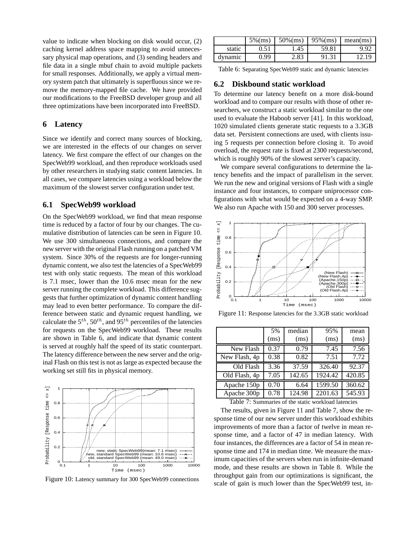value to indicate when blocking on disk would occur, (2) caching kernel address space mapping to avoid unnecessary physical map operations, and (3) sending headers and file data in a single mbuf chain to avoid multiple packets for small responses. Additionally, we apply a virtual memory system patch that ultimately is superfluous since we remove the memory-mapped file cache. We have provided our modifications to the FreeBSD developer group and all three optimizations have been incorporated into FreeBSD.

## **6 Latency**

Since we identify and correct many sources of blocking, we are interested in the effects of our changes on server latency. We first compare the effect of our changes on the SpecWeb99 workload, and then reproduce workloads used by other researchers in studying static content latencies. In all cases, we compare latencies using a workload below the maximum of the slowest server configuration under test.

## **6.1 SpecWeb99 workload**

On the SpecWeb99 workload, we find that mean response time is reduced by a factor of four by our changes. The cumulative distribution of latencies can be seen in Figure 10. We use 300 simultaneous connections, and compare the new server with the original Flash running on a patched VM system. Since 30% of the requests are for longer-running dynamic content, we also test the latencies of a SpecWeb99 test with only static requests. The mean of this workload is 7.1 msec, lower than the 10.6 msec mean for the new server running the complete workload. This difference suggests that further optimization of dynamic content handling may lead to even better performance. To compare the difference between static and dynamic request handling, we calculate the  $5^{th}$ ,  $50^{th}$ , and  $95^{th}$  percentiles of the latencies for requests on the SpecWeb99 workload. These results are shown in Table 6, and indicate that dynamic content is served at roughly half the speed of its static counterpart. The latency difference between the new server and the original Flash on this test is not as large as expected because the working set still fits in physical memory.



Figure 10: Latency summary for 300 SpecWeb99 connections

|         | $5\%$ (ms) | $50\%$ (ms) | $95\%$ (ms) | mean(ms) |
|---------|------------|-------------|-------------|----------|
| static  | 0.51       | 1.45        | 59.81       | 9.92     |
| dynamic | 0.99       | 2.83        | 91.31       | 2.19     |

Table 6: Separating SpecWeb99 static and dynamic latencies

## **6.2 Diskbound static workload**

To determine our latency benefit on a more disk-bound workload and to compare our results with those of other researchers, we construct a static workload similar to the one used to evaluate the Haboob server [41]. In this workload, 1020 simulated clients generate static requests to a 3.3GB data set. Persistent connections are used, with clients issuing 5 requests per connection before closing it. To avoid overload, the request rate is fixed at 2300 requests/second, which is roughly 90% of the slowest server's capacity.

We compare several configurations to determine the latency benefits and the impact of parallelism in the server. We run the new and original versions of Flash with a single instance and four instances, to compare uniprocessor configurations with what would be expected on a 4-way SMP. We also run Apache with 150 and 300 server processes.



Figure 11: Response latencies for the 3.3GB static workload

|               | 5%   | median                                                              | 95%     | mean   |
|---------------|------|---------------------------------------------------------------------|---------|--------|
|               | (ms) | (ms)                                                                | (ms)    | (ms)   |
| New Flash     | 0.37 | 0.79                                                                | 7.45    | 7.56   |
| New Flash, 4p | 0.38 | 0.82                                                                | 7.51    | 7.72   |
| Old Flash     | 3.36 | 37.59                                                               | 326.40  | 92.37  |
| Old Flash, 4p | 7.05 | 142.65                                                              | 1924.42 | 420.85 |
| Apache 150p   | 0.70 | 6.64                                                                | 1599.50 | 360.62 |
| Apache 300p   | 0.78 | 124.98                                                              | 2201.63 | 545.93 |
| T11.7a        |      | $\mathcal{C}$ and $\mathcal{C}$ and $\mathcal{C}$ and $\mathcal{C}$ |         |        |

Table 7: Summaries of the static workload latencies

The results, given in Figure 11 and Table 7, show the response time of our new server under this workload exhibits improvements of more than a factor of twelve in mean response time, and a factor of 47 in median latency. With four instances, the differences are a factor of 54 in mean response time and 174 in median time. We measure the maximum capacities of the servers when run in infinite-demand mode, and these results are shown in Table 8. While the throughput gain from our optimizations is significant, the scale of gain is much lower than the SpecWeb99 test, in-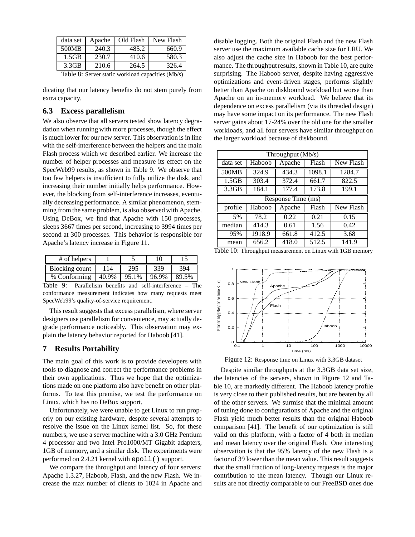| data set          | Apache | Old Flash | New Flash |
|-------------------|--------|-----------|-----------|
| 500MB             | 240.3  | 485.2     | 660.9     |
| 1.5GB             | 230.7  | 410.6     | 580.3     |
| 3.3 <sub>GB</sub> | 210.6  | 264.5     | 326.4     |

Table 8: Server static workload capacities (Mb/s)

dicating that our latency benefits do not stem purely from extra capacity.

## **6.3 Excess parallelism**

We also observe that all servers tested show latency degradation when running with more processes, though the effect is much lower for our new server. This observation is in line with the self-interference between the helpers and the main Flash process which we described earlier. We increase the number of helper processes and measure its effect on the SpecWeb99 results, as shown in Table 9. We observe that too few helpers is insufficient to fully utilize the disk, and increasing their number initially helps performance. However, the blocking from self-interference increases, eventually decreasing performance. A similar phenomenon, stemming from the same problem, is also observed with Apache. Using DeBox, we find that Apache with 150 processes, sleeps 3667 times per second, increasing to 3994 times per second at 300 processes. This behavior is responsible for Apache's latency increase in Figure 11.

| # of helpers   |       |       | 10    |       |
|----------------|-------|-------|-------|-------|
| Blocking count |       | 295   | 339   | 394   |
| % Conforming   | 40.9% | 95.1% | 96.9% | 89.5% |

Table 9: Parallelism benefits and self-interference – The conformance measurement indicates how many requests meet SpecWeb99's quality-of-service requirement.

This result suggests that excess parallelism, where server designers use parallelism for convenience, may actually degrade performance noticeably. This observation may explain the latency behavior reported for Haboob [41].

## **7 Results Portability**

The main goal of this work is to provide developers with tools to diagnose and correct the performance problems in their own applications. Thus we hope that the optimizations made on one platform also have benefit on other platforms. To test this premise, we test the performance on Linux, which has no DeBox support.

Unfortunately, we were unable to get Linux to run properly on our existing hardware, despite several attempts to resolve the issue on the Linux kernel list. So, for these numbers, we use a server machine with a 3.0 GHz Pentium 4 processor and two Intel Pro1000/MT Gigabit adapters, 1GB of memory, and a similar disk. The experiments were performed on 2.4.21 kernel with epoll() support.

We compare the throughput and latency of four servers: Apache 1.3.27, Haboob, Flash, and the new Flash. We increase the max number of clients to 1024 in Apache and

disable logging. Both the original Flash and the new Flash server use the maximum available cache size for LRU. We also adjust the cache size in Haboob for the best performance. The throughput results, shown in Table 10, are quite surprising. The Haboob server, despite having aggressive optimizations and event-driven stages, performs slightly better than Apache on diskbound workload but worse than Apache on an in-memory workload. We believe that its dependence on excess parallelism (via its threaded design) may have some impact on its performance. The new Flash server gains about 17-24% over the old one for the smaller workloads, and all four servers have similar throughput on the larger workload because of diskbound.

| Throughput (Mb/s) |                    |        |        |           |  |  |
|-------------------|--------------------|--------|--------|-----------|--|--|
| data set          | Haboob             | Apache | Flash  | New Flash |  |  |
| 500MB             | 324.9              | 434.3  | 1098.1 | 1284.7    |  |  |
| 1.5GB             | 303.4              | 372.4  | 661.7  | 822.5     |  |  |
| 3.3 <sub>GB</sub> | 184.1              | 177.4  | 173.8  | 199.1     |  |  |
|                   | Response Time (ms) |        |        |           |  |  |
| profile           | Haboob             | Apache | Flash  | New Flash |  |  |
| 5%                | 78.2               | 0.22   | 0.21   | 0.15      |  |  |
| median            | 414.3              | 0.61   | 1.56   | 0.42      |  |  |
| 95%               | 1918.9             | 661.8  | 412.5  | 3.68      |  |  |
| mean              | 656.2              | 418.0  | 512.5  | 141.9     |  |  |

Table 10: Throughput measurement on Linux with 1GB memory



Figure 12: Response time on Linux with 3.3GB dataset

Despite similar throughputs at the 3.3GB data set size, the latencies of the servers, shown in Figure 12 and Table 10, are markedly different. The Haboob latency profile is very close to their published results, but are beaten by all of the other servers. We surmise that the minimal amount of tuning done to configurations of Apache and the original Flash yield much better results than the original Haboob comparison [41]. The benefit of our optimization is still valid on this platform, with a factor of 4 both in median and mean latency over the original Flash. One interesting observation is that the 95% latency of the new Flash is a factor of 39 lower than the mean value. This result suggests that the small fraction of long-latency requests is the major contribution to the mean latency. Though our Linux results are not directly comparable to our FreeBSD ones due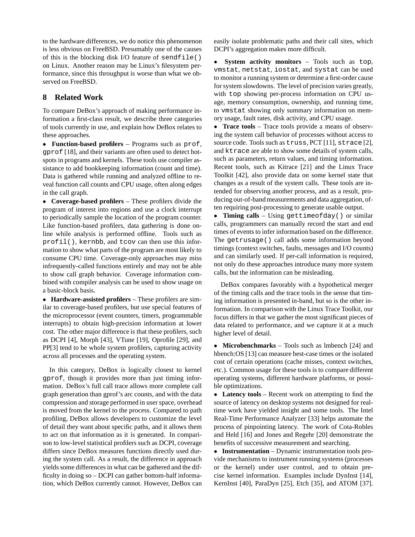to the hardware differences, we do notice this phenomenon is less obvious on FreeBSD. Presumably one of the causes of this is the blocking disk I/O feature of sendfile() on Linux. Another reason may be Linux's filesystem performance, since this throughput is worse than what we observed on FreeBSD.

## **8 Related Work**

To compare DeBox's approach of making performance information a first-class result, we describe three categories of tools currently in use, and explain how DeBox relates to these approaches.

• **Function-based profilers** – Programs such as prof, gprof [18], and their variants are often used to detect hotspots in programs and kernels. These tools use compiler assistance to add bookkeeping information (count and time). Data is gathered while running and analyzed offline to reveal function call counts and CPU usage, often along edges in the call graph.

• **Coverage-based profilers** – These profilers divide the program of interest into regions and use a clock interrupt to periodically sample the location of the program counter. Like function-based profilers, data gathering is done online while analysis is performed offline. Tools such as profil(), kernbb, and tcov can then use this information to show what parts of the program are most likely to consume CPU time. Coverage-only approaches may miss infrequently-called functions entirely and may not be able to show call graph behavior. Coverage information combined with compiler analysis can be used to show usage on a basic-block basis.

• **Hardware-assisted profilers** – These profilers are similar to coverage-based profilers, but use special features of the microprocessor (event counters, timers, programmable interrupts) to obtain high-precision information at lower cost. The other major difference is that these profilers, such as DCPI [4], Morph [43], VTune [19], Oprofile [29], and PP[3] tend to be whole system profilers, capturing activity across all processes and the operating system.

In this category, DeBox is logically closest to kernel gprof, though it provides more than just timing information. DeBox's full call trace allows more complete call graph generation than gprof's arc counts, and with the data compression and storage performed in user space, overhead is moved from the kernel to the process. Compared to path profiling, DeBox allows developers to customize the level of detail they want about specific paths, and it allows them to act on that information as it is generated. In comparison to low-level statistical profilers such as DCPI, coverage differs since DeBox measures functions directly used during the system call. As a result, the difference in approach yields some differences in what can be gathered and the difficulty in doing so – DCPI can gather bottom-half information, which DeBox currently cannot. However, DeBox can

easily isolate problematic paths and their call sites, which DCPI's aggregation makes more difficult.

• **System activity monitors** – Tools such as top, vmstat, netstat, iostat, and systat can be used to monitor a running system or determine a first-order cause for system slowdowns. The level of precision varies greatly, with top showing per-process information on CPU usage, memory consumption, ownership, and running time, to vmstat showing only summary information on memory usage, fault rates, disk activity, and CPU usage.

• **Trace tools** – Trace tools provide a means of observing the system call behavior of processes without access to source code. Tools such as truss, PCT [11], strace [2], and ktrace are able to show some details of system calls, such as parameters, return values, and timing information. Recent tools, such as Kitrace [21] and the Linux Trace Toolkit [42], also provide data on some kernel state that changes as a result of the system calls. These tools are intended for observing another process, and as a result, producing out-of-band measurements and data aggregation, often requiring post-processing to generate usable output.

• **Timing calls** – Using gettimeofday() or similar calls, programmers can manually record the start and end times of events to infer information based on the difference. The getrusage() call adds some information beyond timings (context switches, faults, messages and I/O counts) and can similarly used. If per-call information is required, not only do these approaches introduce many more system calls, but the information can be misleading.

DeBox compares favorably with a hypothetical merger of the timing calls and the trace tools in the sense that timing information is presented in-band, but so is the other information. In comparison with the Linux Trace Toolkit, our focus differs in that we gather the most significant pieces of data related to performance, and we capture it at a much higher level of detail.

• **Microbenchmarks** – Tools such as lmbench [24] and hbench:OS [13] can measure best-case times or the isolated cost of certain operations (cache misses, context switches, etc.). Common usage for these tools is to compare different operating systems, different hardware platforms, or possible optimizations.

• **Latency tools** – Recent work on attempting to find the source of latency on desktop systems not designed for realtime work have yielded insight and some tools. The Intel Real-Time Performance Analyzer [33] helps automate the process of pinpointing latency. The work of Cota-Robles and Held [16] and Jones and Regehr [20] demonstrate the benefits of successive measurement and searching.

• **Instrumentation** – Dynamic instrumentation tools provide mechanisms to instrument running systems (processes or the kernel) under user control, and to obtain precise kernel information. Examples include DynInst [14], KernInst [40], ParaDyn [25], Etch [35], and ATOM [37].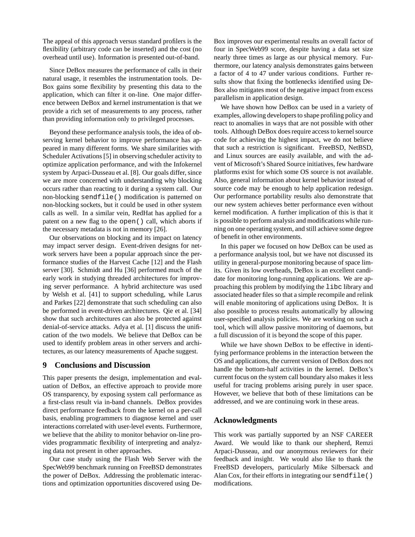The appeal of this approach versus standard profilers is the flexibility (arbitrary code can be inserted) and the cost (no overhead until use). Information is presented out-of-band.

Since DeBox measures the performance of calls in their natural usage, it resembles the instrumentation tools. De-Box gains some flexibility by presenting this data to the application, which can filter it on-line. One major difference between DeBox and kernel instrumentation is that we provide a rich set of measurements to any process, rather than providing information only to privileged processes.

Beyond these performance analysis tools, the idea of observing kernel behavior to improve performance has appeared in many different forms. We share similarities with Scheduler Activations [5] in observing scheduler activity to optimize application performance, and with the Infokernel system by Arpaci-Dusseau et al. [8]. Our goals differ, since we are more concerned with understanding why blocking occurs rather than reacting to it during a system call. Our non-blocking sendfile() modification is patterned on non-blocking sockets, but it could be used in other system calls as well. In a similar vein, RedHat has applied for a patent on a new flag to the open() call, which aborts if the necessary metadata is not in memory [26].

Our observations on blocking and its impact on latency may impact server design. Event-driven designs for network servers have been a popular approach since the performance studies of the Harvest Cache [12] and the Flash server [30]. Schmidt and Hu [36] performed much of the early work in studying threaded architectures for improving server performance. A hybrid architecture was used by Welsh et al. [41] to support scheduling, while Larus and Parkes [22] demonstrate that such scheduling can also be performed in event-driven architectures. Qie et al. [34] show that such architectures can also be protected against denial-of-service attacks. Adya et al. [1] discuss the unification of the two models. We believe that DeBox can be used to identify problem areas in other servers and architectures, as our latency measurements of Apache suggest.

## **9 Conclusions and Discussion**

This paper presents the design, implementation and evaluation of DeBox, an effective approach to provide more OS transparency, by exposing system call performance as a first-class result via in-band channels. DeBox provides direct performance feedback from the kernel on a per-call basis, enabling programmers to diagnose kernel and user interactions correlated with user-level events. Furthermore, we believe that the ability to monitor behavior on-line provides programmatic flexibility of interpreting and analyzing data not present in other approaches.

Our case study using the Flash Web Server with the SpecWeb99 benchmark running on FreeBSD demonstrates the power of DeBox. Addressing the problematic interactions and optimization opportunities discovered using De-

Box improves our experimental results an overall factor of four in SpecWeb99 score, despite having a data set size nearly three times as large as our physical memory. Furthermore, our latency analysis demonstrates gains between a factor of 4 to 47 under various conditions. Further results show that fixing the bottlenecks identified using De-Box also mitigates most of the negative impact from excess parallelism in application design.

We have shown how DeBox can be used in a variety of examples, allowing developers to shape profiling policy and react to anomalies in ways that are not possible with other tools. Although DeBox does require access to kernel source code for achieving the highest impact, we do not believe that such a restriction is significant. FreeBSD, NetBSD, and Linux sources are easily available, and with the advent of Microsoft's Shared Source initiatives, few hardware platforms exist for which some OS source is not available. Also, general information about kernel behavior instead of source code may be enough to help application redesign. Our performance portability results also demonstrate that our new system achieves better performance even without kernel modification. A further implication of this is that it is possible to perform analysis and modifications while running on one operating system, and still achieve some degree of benefit in other environments.

In this paper we focused on how DeBox can be used as a performance analysis tool, but we have not discussed its utility in general-purpose monitoring because of space limits. Given its low overheads, DeBox is an excellent candidate for monitoring long-running applications. We are approaching this problem by modifying the libc library and associated header files so that a simple recompile and relink will enable monitoring of applications using DeBox. It is also possible to process results automatically by allowing user-specified analysis policies. We are working on such a tool, which will allow passive monitoring of daemons, but a full discussion of it is beyond the scope of this paper.

While we have shown DeBox to be effective in identifying performance problems in the interaction between the OS and applications, the current version of DeBox does not handle the bottom-half activities in the kernel. DeBox's current focus on the system call boundary also makes it less useful for tracing problems arising purely in user space. However, we believe that both of these limitations can be addressed, and we are continuing work in these areas.

## **Acknowledgments**

This work was partially supported by an NSF CAREER Award. We would like to thank our shepherd, Remzi Arpaci-Dusseau, and our anonymous reviewers for their feedback and insight. We would also like to thank the FreeBSD developers, particularly Mike Silbersack and Alan Cox, for their efforts in integrating our sendfile() modifications.